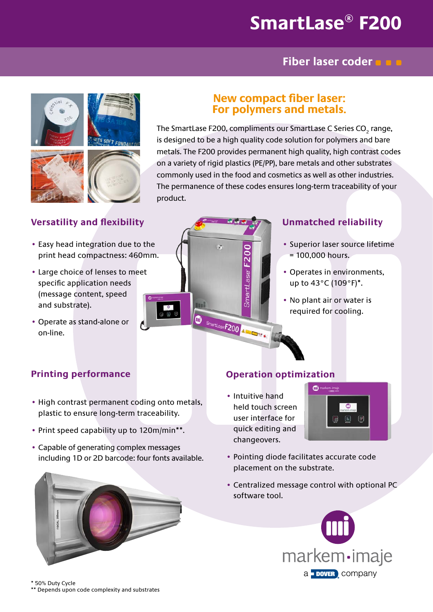# **SmartLase® F200**

### **Fiber laser coder**



### **Versatility and flexibility**

- Easy head integration due to the print head compactness: 460mm.
- Large choice of lenses to meet specific application needs (message content, speed and substrate).
- Operate as stand-alone or on-line.



### **New compact fiber laser: For polymers and metals.**

The SmartLase F200, compliments our SmartLase C Series CO $_{_{2}}$  range, is designed to be a high quality code solution for polymers and bare metals. The F200 provides permanent high quality, high contrast codes on a variety of rigid plastics (PE/PP), bare metals and other substrates commonly used in the food and cosmetics as well as other industries. The permanence of these codes ensures long-term traceability of your product.



### **Unmatched reliability**

- Superior laser source lifetime  $= 100,000$  hours.
- Operates in environments, up to 43°C (109°F)\*.
- No plant air or water is required for cooling.

### **Printing performance**

- High contrast permanent coding onto metals, plastic to ensure long-term traceability.
- Print speed capability up to 120m/min\*\*.
- Capable of generating complex messages including 1D or 2D barcode: four fonts available.



### **Operation optimization**

• Intuitive hand held touch screen user interface for quick editing and changeovers.



- Pointing diode facilitates accurate code placement on the substrate.
- Centralized message control with optional PC software tool.